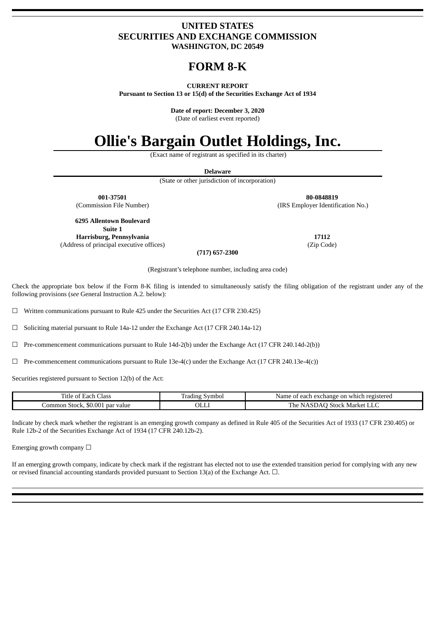## **UNITED STATES SECURITIES AND EXCHANGE COMMISSION WASHINGTON, DC 20549**

## **FORM 8-K**

#### **CURRENT REPORT**

**Pursuant to Section 13 or 15(d) of the Securities Exchange Act of 1934**

**Date of report: December 3, 2020**

(Date of earliest event reported)

# **Ollie's Bargain Outlet Holdings, Inc.**

(Exact name of registrant as specified in its charter)

| (State or other jurisdiction of incorporation) |                                   |  |  |  |  |  |  |
|------------------------------------------------|-----------------------------------|--|--|--|--|--|--|
| 001-37501                                      | 80-0848819                        |  |  |  |  |  |  |
| (Commission File Number)                       | (IRS Employer Identification No.) |  |  |  |  |  |  |
| 6295 Allentown Boulevard                       |                                   |  |  |  |  |  |  |
| Suite 1                                        |                                   |  |  |  |  |  |  |
| Harrisburg, Pennsylvania                       | 17112                             |  |  |  |  |  |  |
| (Address of principal executive offices)       | (Zip Code)                        |  |  |  |  |  |  |
| $(717)$ 657-2300                               |                                   |  |  |  |  |  |  |

Check the appropriate box below if the Form 8-K filing is intended to simultaneously satisfy the filing obligation of the registrant under any of the following provisions (*see* General Instruction A.2. below):

☐ Written communications pursuant to Rule 425 under the Securities Act (17 CFR 230.425)

☐ Soliciting material pursuant to Rule 14a-12 under the Exchange Act (17 CFR 240.14a-12)

 $\Box$  Pre-commencement communications pursuant to Rule 14d-2(b) under the Exchange Act (17 CFR 240.14d-2(b))

 $\Box$  Pre-commencement communications pursuant to Rule 13e-4(c) under the Exchange Act (17 CFR 240.13e-4(c))

Securities registered pursuant to Section 12(b) of the Act:

| -<br>ritle of<br>Class<br>Each                          | Symbol<br>radıng | which registered<br>exchange on<br>Name<br>each<br>u |
|---------------------------------------------------------|------------------|------------------------------------------------------|
| \$0.001<br>. par value<br>_ommon <sup>-</sup><br>Stock, | OLLI             | . Stock Market<br>l'he<br>NASDAO<br>حابلا            |

Indicate by check mark whether the registrant is an emerging growth company as defined in Rule 405 of the Securities Act of 1933 (17 CFR 230.405) or Rule 12b-2 of the Securities Exchange Act of 1934 (17 CFR 240.12b-2).

Emerging growth company  $\Box$ 

If an emerging growth company, indicate by check mark if the registrant has elected not to use the extended transition period for complying with any new or revised financial accounting standards provided pursuant to Section 13(a) of the Exchange Act.  $\square$ .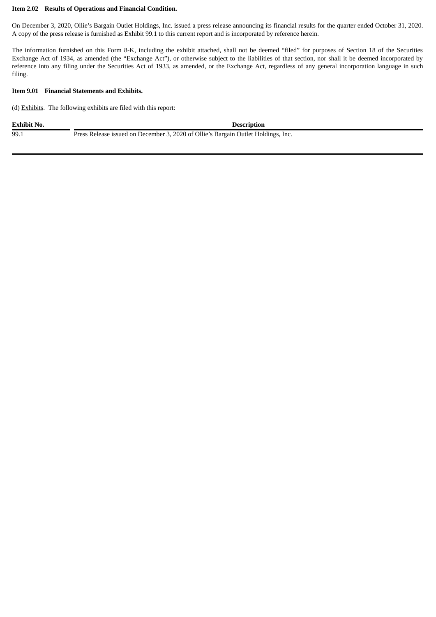#### **Item 2.02 Results of Operations and Financial Condition.**

On December 3, 2020, Ollie's Bargain Outlet Holdings, Inc. issued a press release announcing its financial results for the quarter ended October 31, 2020. A copy of the press release is furnished as Exhibit 99.1 to this current report and is incorporated by reference herein.

The information furnished on this Form 8-K, including the exhibit attached, shall not be deemed "filed" for purposes of Section 18 of the Securities Exchange Act of 1934, as amended (the "Exchange Act"), or otherwise subject to the liabilities of that section, nor shall it be deemed incorporated by reference into any filing under the Securities Act of 1933, as amended, or the Exchange Act, regardless of any general incorporation language in such filing.

#### **Item 9.01 Financial Statements and Exhibits.**

(d) Exhibits. The following exhibits are filed with this report:

| <b>Exhibit No.</b> | <b>Description</b>                                                                |
|--------------------|-----------------------------------------------------------------------------------|
| 99.1               | Press Release issued on December 3, 2020 of Ollie's Bargain Outlet Holdings, Inc. |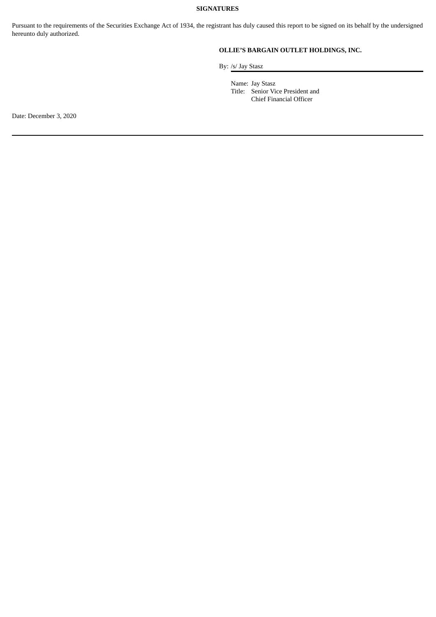## **SIGNATURES**

Pursuant to the requirements of the Securities Exchange Act of 1934, the registrant has duly caused this report to be signed on its behalf by the undersigned hereunto duly authorized.

## **OLLIE'S BARGAIN OUTLET HOLDINGS, INC.**

By: /s/ Jay Stasz

Name: Jay Stasz Title: Senior Vice President and Chief Financial Officer

Date: December 3, 2020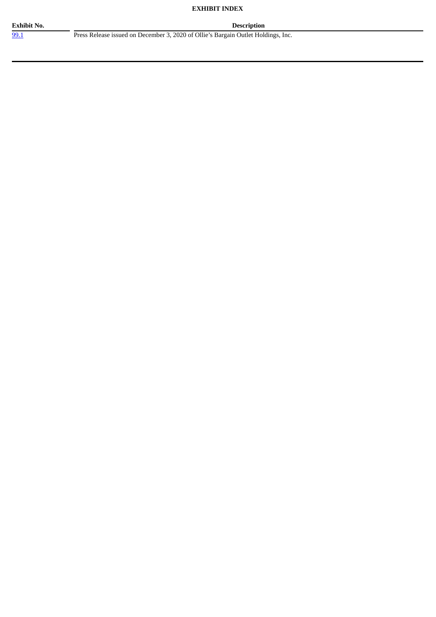## **EXHIBIT INDEX**

**Exhibit No. Description**

[99.1](#page-4-0) Press Release issued on December 3, 2020 of Ollie's Bargain Outlet Holdings, Inc.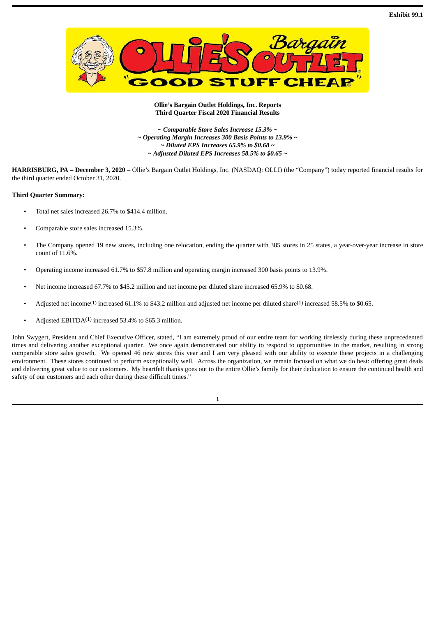<span id="page-4-0"></span>

#### **Ollie's Bargain Outlet Holdings, Inc. Reports Third Quarter Fiscal 2020 Financial Results**

*~ Comparable Store Sales Increase 15.3% ~ ~ Operating Margin Increases 300 Basis Points to 13.9% ~ ~ Diluted EPS Increases 65.9% to \$0.68 ~ ~ Adjusted Diluted EPS Increases 58.5% to \$0.65 ~*

**HARRISBURG, PA – December 3, 2020** – Ollie's Bargain Outlet Holdings, Inc. (NASDAQ: OLLI) (the "Company") today reported financial results for the third quarter ended October 31, 2020.

#### **Third Quarter Summary:**

- Total net sales increased 26.7% to \$414.4 million.
- Comparable store sales increased 15.3%.
- The Company opened 19 new stores, including one relocation, ending the quarter with 385 stores in 25 states, a year-over-year increase in store count of 11.6%.
- Operating income increased 61.7% to \$57.8 million and operating margin increased 300 basis points to 13.9%.
- Net income increased 67.7% to \$45.2 million and net income per diluted share increased 65.9% to \$0.68.
- Adjusted net income<sup>(1)</sup> increased 61.1% to \$43.2 million and adjusted net income per diluted share<sup>(1)</sup> increased 58.5% to \$0.65.
- Adjusted EBITDA<sup>(1)</sup> increased 53.4% to \$65.3 million.

John Swygert, President and Chief Executive Officer, stated, "I am extremely proud of our entire team for working tirelessly during these unprecedented times and delivering another exceptional quarter. We once again demonstrated our ability to respond to opportunities in the market, resulting in strong comparable store sales growth. We opened 46 new stores this year and I am very pleased with our ability to execute these projects in a challenging environment. These stores continued to perform exceptionally well. Across the organization, we remain focused on what we do best: offering great deals and delivering great value to our customers. My heartfelt thanks goes out to the entire Ollie's family for their dedication to ensure the continued health and safety of our customers and each other during these difficult times."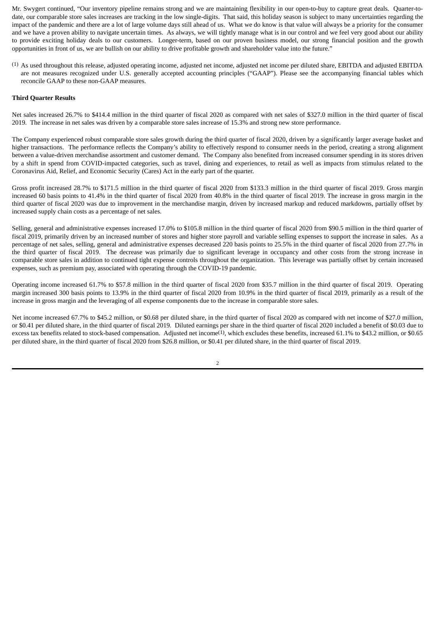Mr. Swygert continued, "Our inventory pipeline remains strong and we are maintaining flexibility in our open-to-buy to capture great deals. Quarter-todate, our comparable store sales increases are tracking in the low single-digits. That said, this holiday season is subject to many uncertainties regarding the impact of the pandemic and there are a lot of large volume days still ahead of us. What we do know is that value will always be a priority for the consumer and we have a proven ability to navigate uncertain times. As always, we will tightly manage what is in our control and we feel very good about our ability to provide exciting holiday deals to our customers. Longer-term, based on our proven business model, our strong financial position and the growth opportunities in front of us, we are bullish on our ability to drive profitable growth and shareholder value into the future."

(1) As used throughout this release, adjusted operating income, adjusted net income, adjusted net income per diluted share, EBITDA and adjusted EBITDA are not measures recognized under U.S. generally accepted accounting principles ("GAAP"). Please see the accompanying financial tables which reconcile GAAP to these non-GAAP measures.

#### **Third Quarter Results**

Net sales increased 26.7% to \$414.4 million in the third quarter of fiscal 2020 as compared with net sales of \$327.0 million in the third quarter of fiscal 2019. The increase in net sales was driven by a comparable store sales increase of 15.3% and strong new store performance.

The Company experienced robust comparable store sales growth during the third quarter of fiscal 2020, driven by a significantly larger average basket and higher transactions. The performance reflects the Company's ability to effectively respond to consumer needs in the period, creating a strong alignment between a value-driven merchandise assortment and customer demand. The Company also benefited from increased consumer spending in its stores driven by a shift in spend from COVID-impacted categories, such as travel, dining and experiences, to retail as well as impacts from stimulus related to the Coronavirus Aid, Relief, and Economic Security (Cares) Act in the early part of the quarter.

Gross profit increased 28.7% to \$171.5 million in the third quarter of fiscal 2020 from \$133.3 million in the third quarter of fiscal 2019. Gross margin increased 60 basis points to 41.4% in the third quarter of fiscal 2020 from 40.8% in the third quarter of fiscal 2019. The increase in gross margin in the third quarter of fiscal 2020 was due to improvement in the merchandise margin, driven by increased markup and reduced markdowns, partially offset by increased supply chain costs as a percentage of net sales.

Selling, general and administrative expenses increased 17.0% to \$105.8 million in the third quarter of fiscal 2020 from \$90.5 million in the third quarter of fiscal 2019, primarily driven by an increased number of stores and higher store payroll and variable selling expenses to support the increase in sales. As a percentage of net sales, selling, general and administrative expenses decreased 220 basis points to 25.5% in the third quarter of fiscal 2020 from 27.7% in the third quarter of fiscal 2019. The decrease was primarily due to significant leverage in occupancy and other costs from the strong increase in comparable store sales in addition to continued tight expense controls throughout the organization. This leverage was partially offset by certain increased expenses, such as premium pay, associated with operating through the COVID-19 pandemic.

Operating income increased 61.7% to \$57.8 million in the third quarter of fiscal 2020 from \$35.7 million in the third quarter of fiscal 2019. Operating margin increased 300 basis points to 13.9% in the third quarter of fiscal 2020 from 10.9% in the third quarter of fiscal 2019, primarily as a result of the increase in gross margin and the leveraging of all expense components due to the increase in comparable store sales.

Net income increased 67.7% to \$45.2 million, or \$0.68 per diluted share, in the third quarter of fiscal 2020 as compared with net income of \$27.0 million, or \$0.41 per diluted share, in the third quarter of fiscal 2019. Diluted earnings per share in the third quarter of fiscal 2020 included a benefit of \$0.03 due to excess tax benefits related to stock-based compensation. Adjusted net income<sup>(1)</sup>, which excludes these benefits, increased 61.1% to \$43.2 million, or \$0.65 per diluted share, in the third quarter of fiscal 2020 from \$26.8 million, or \$0.41 per diluted share, in the third quarter of fiscal 2019.

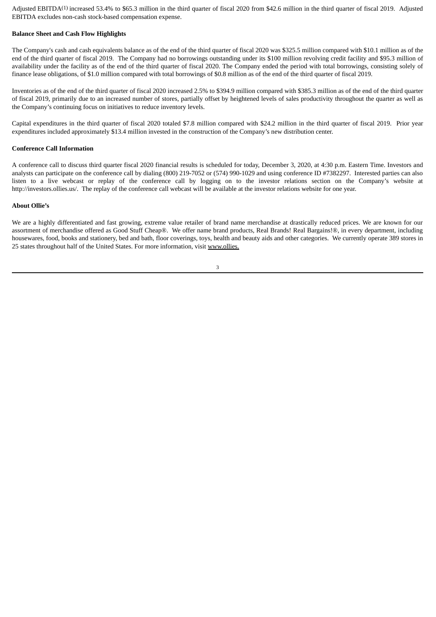Adjusted EBITDA<sup>(1)</sup> increased 53.4% to \$65.3 million in the third quarter of fiscal 2020 from \$42.6 million in the third quarter of fiscal 2019. Adjusted EBITDA excludes non-cash stock-based compensation expense.

#### **Balance Sheet and Cash Flow Highlights**

The Company's cash and cash equivalents balance as of the end of the third quarter of fiscal 2020 was \$325.5 million compared with \$10.1 million as of the end of the third quarter of fiscal 2019. The Company had no borrowings outstanding under its \$100 million revolving credit facility and \$95.3 million of availability under the facility as of the end of the third quarter of fiscal 2020. The Company ended the period with total borrowings, consisting solely of finance lease obligations, of \$1.0 million compared with total borrowings of \$0.8 million as of the end of the third quarter of fiscal 2019.

Inventories as of the end of the third quarter of fiscal 2020 increased 2.5% to \$394.9 million compared with \$385.3 million as of the end of the third quarter of fiscal 2019, primarily due to an increased number of stores, partially offset by heightened levels of sales productivity throughout the quarter as well as the Company's continuing focus on initiatives to reduce inventory levels.

Capital expenditures in the third quarter of fiscal 2020 totaled \$7.8 million compared with \$24.2 million in the third quarter of fiscal 2019. Prior year expenditures included approximately \$13.4 million invested in the construction of the Company's new distribution center.

#### **Conference Call Information**

A conference call to discuss third quarter fiscal 2020 financial results is scheduled for today, December 3, 2020, at 4:30 p.m. Eastern Time. Investors and analysts can participate on the conference call by dialing (800) 219-7052 or (574) 990-1029 and using conference ID #7382297. Interested parties can also listen to a live webcast or replay of the conference call by logging on to the investor relations section on the Company's website at http://investors.ollies.us/. The replay of the conference call webcast will be available at the investor relations website for one year.

#### **About Ollie's**

We are a highly differentiated and fast growing, extreme value retailer of brand name merchandise at drastically reduced prices. We are known for our assortment of merchandise offered as Good Stuff Cheap®. We offer name brand products, Real Brands! Real Bargains!®, in every department, including housewares, food, books and stationery, bed and bath, floor coverings, toys, health and beauty aids and other categories. We currently operate 389 stores in 25 states throughout half of the United States. For more information, visit www.ollies.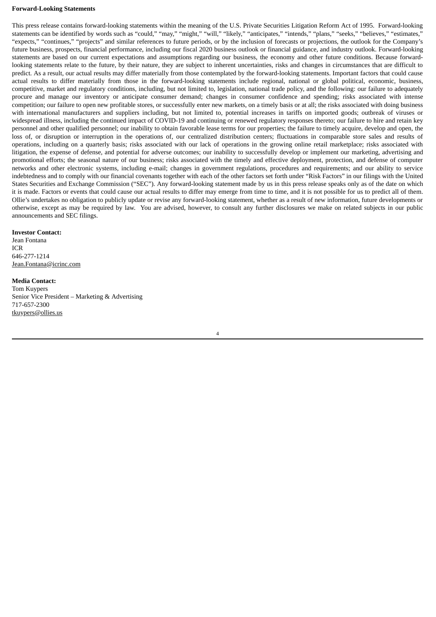#### **Forward-Looking Statements**

This press release contains forward-looking statements within the meaning of the U.S. Private Securities Litigation Reform Act of 1995. Forward-looking statements can be identified by words such as "could," "may," "might," "will," "likely," "anticipates," "intends," "plans," "seeks," "believes," "estimates," "expects," "continues," "projects" and similar references to future periods, or by the inclusion of forecasts or projections, the outlook for the Company's future business, prospects, financial performance, including our fiscal 2020 business outlook or financial guidance, and industry outlook. Forward-looking statements are based on our current expectations and assumptions regarding our business, the economy and other future conditions. Because forwardlooking statements relate to the future, by their nature, they are subject to inherent uncertainties, risks and changes in circumstances that are difficult to predict. As a result, our actual results may differ materially from those contemplated by the forward-looking statements. Important factors that could cause actual results to differ materially from those in the forward-looking statements include regional, national or global political, economic, business, competitive, market and regulatory conditions, including, but not limited to, legislation, national trade policy, and the following: our failure to adequately procure and manage our inventory or anticipate consumer demand; changes in consumer confidence and spending; risks associated with intense competition; our failure to open new profitable stores, or successfully enter new markets, on a timely basis or at all; the risks associated with doing business with international manufacturers and suppliers including, but not limited to, potential increases in tariffs on imported goods; outbreak of viruses or widespread illness, including the continued impact of COVID-19 and continuing or renewed regulatory responses thereto; our failure to hire and retain key personnel and other qualified personnel; our inability to obtain favorable lease terms for our properties; the failure to timely acquire, develop and open, the loss of, or disruption or interruption in the operations of, our centralized distribution centers; fluctuations in comparable store sales and results of operations, including on a quarterly basis; risks associated with our lack of operations in the growing online retail marketplace; risks associated with litigation, the expense of defense, and potential for adverse outcomes; our inability to successfully develop or implement our marketing, advertising and promotional efforts; the seasonal nature of our business; risks associated with the timely and effective deployment, protection, and defense of computer networks and other electronic systems, including e-mail; changes in government regulations, procedures and requirements; and our ability to service indebtedness and to comply with our financial covenants together with each of the other factors set forth under "Risk Factors" in our filings with the United States Securities and Exchange Commission ("SEC"). Any forward-looking statement made by us in this press release speaks only as of the date on which it is made. Factors or events that could cause our actual results to differ may emerge from time to time, and it is not possible for us to predict all of them. Ollie's undertakes no obligation to publicly update or revise any forward-looking statement, whether as a result of new information, future developments or otherwise, except as may be required by law. You are advised, however, to consult any further disclosures we make on related subjects in our public announcements and SEC filings.

#### **Investor Contact:**

Jean Fontana ICR 646-277-1214 Jean.Fontana@icrinc.com

#### **Media Contact:**

Tom Kuypers Senior Vice President – Marketing & Advertising 717-657-2300 tkuypers@ollies.us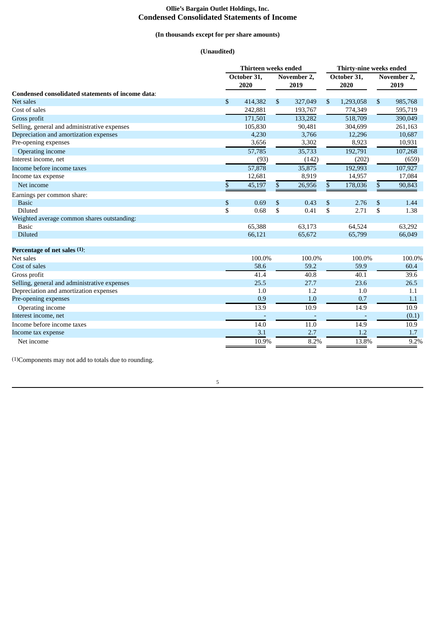## **Ollie's Bargain Outlet Holdings, Inc. Condensed Consolidated Statements of Income**

## **(In thousands except for per share amounts)**

## **(Unaudited)**

|                                                   |    | <b>Thirteen weeks ended</b> |                     |                          |                     |           | Thirty-nine weeks ended |         |  |  |  |
|---------------------------------------------------|----|-----------------------------|---------------------|--------------------------|---------------------|-----------|-------------------------|---------|--|--|--|
|                                                   |    | October 31,<br>2020         | November 2.<br>2019 |                          | October 31,<br>2020 |           | November 2,<br>2019     |         |  |  |  |
| Condensed consolidated statements of income data: |    |                             |                     |                          |                     |           |                         |         |  |  |  |
| <b>Net sales</b>                                  | \$ | 414,382                     | \$                  | 327,049                  | \$                  | 1,293,058 | \$                      | 985,768 |  |  |  |
| Cost of sales                                     |    | 242,881                     |                     | 193,767                  |                     | 774,349   |                         | 595,719 |  |  |  |
| Gross profit                                      |    | 171,501                     |                     | 133,282                  |                     | 518,709   |                         | 390,049 |  |  |  |
| Selling, general and administrative expenses      |    | 105,830                     |                     | 90,481                   |                     | 304,699   |                         | 261,163 |  |  |  |
| Depreciation and amortization expenses            |    | 4,230                       |                     | 3,766                    |                     | 12,296    |                         | 10,687  |  |  |  |
| Pre-opening expenses                              |    | 3,656                       |                     | 3,302                    |                     | 8,923     |                         | 10,931  |  |  |  |
| Operating income                                  |    | 57,785                      |                     | 35,733                   |                     | 192,791   |                         | 107,268 |  |  |  |
| Interest income, net                              |    | (93)                        |                     | (142)                    |                     | (202)     |                         | (659)   |  |  |  |
| Income before income taxes                        |    | 57,878                      |                     | 35,875                   |                     | 192,993   |                         | 107,927 |  |  |  |
| Income tax expense                                |    | 12,681                      |                     | 8,919                    |                     | 14,957    |                         | 17,084  |  |  |  |
| Net income                                        | \$ | 45,197                      | \$                  | 26,956                   | \$                  | 178,036   | \$                      | 90,843  |  |  |  |
| Earnings per common share:                        |    |                             |                     |                          |                     |           |                         |         |  |  |  |
| <b>Basic</b>                                      | \$ | 0.69                        | \$                  | 0.43                     | \$                  | 2.76      | \$                      | 1.44    |  |  |  |
| Diluted                                           | \$ | 0.68                        | \$                  | 0.41                     | \$                  | 2.71      | \$                      | 1.38    |  |  |  |
| Weighted average common shares outstanding:       |    |                             |                     |                          |                     |           |                         |         |  |  |  |
| <b>Basic</b>                                      |    | 65,388                      |                     | 63,173                   |                     | 64,524    |                         | 63,292  |  |  |  |
| <b>Diluted</b>                                    |    | 66,121                      |                     | 65,672                   |                     | 65,799    |                         | 66,049  |  |  |  |
| Percentage of net sales (1):                      |    |                             |                     |                          |                     |           |                         |         |  |  |  |
| Net sales                                         |    | 100.0%                      |                     | 100.0%                   |                     | 100.0%    |                         | 100.0%  |  |  |  |
| Cost of sales                                     |    | 58.6                        |                     | 59.2                     |                     | 59.9      |                         | 60.4    |  |  |  |
| Gross profit                                      |    | 41.4                        |                     | 40.8                     |                     | 40.1      |                         | 39.6    |  |  |  |
| Selling, general and administrative expenses      |    | 25.5                        |                     | 27.7                     |                     | 23.6      |                         | 26.5    |  |  |  |
| Depreciation and amortization expenses            |    | 1.0                         |                     | 1.2                      |                     | 1.0       |                         | 1.1     |  |  |  |
| Pre-opening expenses                              |    | 0.9                         |                     | 1.0                      |                     | 0.7       |                         | 1.1     |  |  |  |
| Operating income                                  |    | 13.9                        |                     | 10.9                     |                     | 14.9      |                         | 10.9    |  |  |  |
| Interest income, net                              |    |                             |                     | $\overline{\phantom{a}}$ |                     |           |                         | (0.1)   |  |  |  |
| Income before income taxes                        |    | 14.0                        |                     | 11.0                     |                     | 14.9      |                         | 10.9    |  |  |  |
| Income tax expense                                |    | 3.1                         |                     | 2.7                      |                     | 1.2       |                         | 1.7     |  |  |  |
| Net income                                        |    | 10.9%                       |                     | 8.2%                     |                     | 13.8%     |                         | 9.2%    |  |  |  |

(1)Components may not add to totals due to rounding.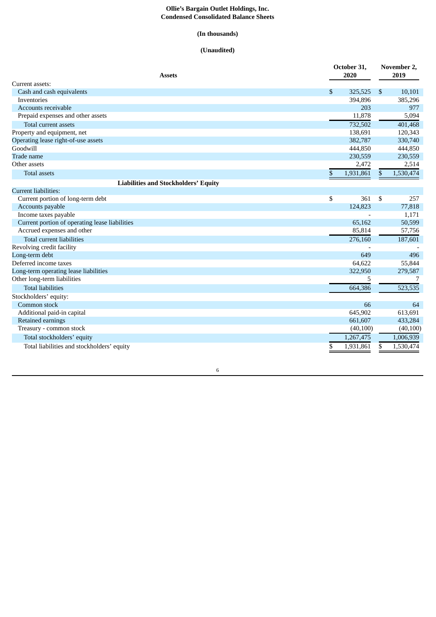#### **Ollie's Bargain Outlet Holdings, Inc. Condensed Consolidated Balance Sheets**

## **(In thousands)**

## **(Unaudited)**

| Assets                                         | October 31,<br>2020 | November 2,<br>2019 |
|------------------------------------------------|---------------------|---------------------|
| Current assets:                                |                     |                     |
| Cash and cash equivalents                      | \$<br>325,525       | \$<br>10,101        |
| Inventories                                    | 394.896             | 385,296             |
| Accounts receivable                            | 203                 | 977                 |
| Prepaid expenses and other assets              | 11,878              | 5,094               |
| Total current assets                           | 732,502             | 401,468             |
| Property and equipment, net                    | 138,691             | 120,343             |
| Operating lease right-of-use assets            | 382,787             | 330,740             |
| Goodwill                                       | 444,850             | 444,850             |
| Trade name                                     | 230,559             | 230,559             |
| Other assets                                   | 2,472               | 2,514               |
| <b>Total assets</b>                            | \$<br>1,931,861     | \$<br>1,530,474     |
| <b>Liabilities and Stockholders' Equity</b>    |                     |                     |
| <b>Current liabilities:</b>                    |                     |                     |
| Current portion of long-term debt              | \$<br>361           | \$<br>257           |
| Accounts payable                               | 124,823             | 77,818              |
| Income taxes payable                           |                     | 1,171               |
| Current portion of operating lease liabilities | 65,162              | 50,599              |
| Accrued expenses and other                     | 85,814              | 57,756              |
| <b>Total current liabilities</b>               | 276,160             | 187,601             |
| Revolving credit facility                      |                     |                     |
| Long-term debt                                 | 649                 | 496                 |
| Deferred income taxes                          | 64,622              | 55,844              |
| Long-term operating lease liabilities          | 322,950             | 279,587             |
| Other long-term liabilities                    | 5                   | 7                   |
| <b>Total liabilities</b>                       | 664,386             | 523,535             |
| Stockholders' equity:                          |                     |                     |
| Common stock                                   | 66                  | 64                  |
| Additional paid-in capital                     | 645,902             | 613,691             |
| Retained earnings                              | 661,607             | 433,284             |
| Treasury - common stock                        | (40,100)            | (40, 100)           |
| Total stockholders' equity                     | 1,267,475           | 1,006,939           |
| Total liabilities and stockholders' equity     | \$<br>1,931,861     | \$<br>1,530,474     |

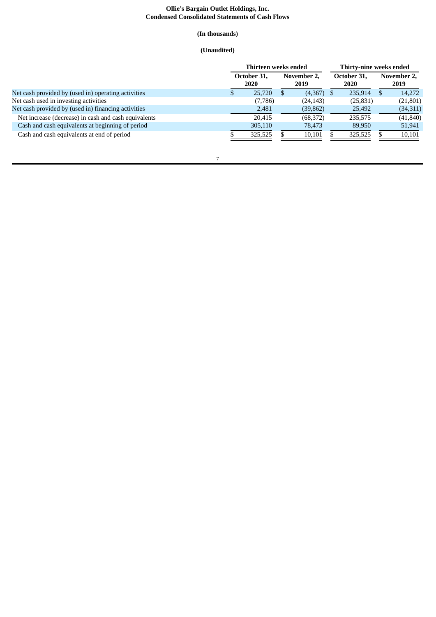#### **Ollie's Bargain Outlet Holdings, Inc. Condensed Consolidated Statements of Cash Flows**

## **(In thousands)**

## **(Unaudited)**

|                                                      | Thirteen weeks ended |         |      |           |             | Thirty-nine weeks ended |                     |           |                     |
|------------------------------------------------------|----------------------|---------|------|-----------|-------------|-------------------------|---------------------|-----------|---------------------|
|                                                      | October 31,<br>2020  |         | 2019 |           | November 2, |                         | October 31.<br>2020 |           | November 2,<br>2019 |
| Net cash provided by (used in) operating activities  |                      | 25,720  |      | (4,367)   |             | 235.914                 |                     | 14.272    |                     |
| Net cash used in investing activities                |                      | (7,786) |      | (24, 143) |             | (25, 831)               |                     | (21, 801) |                     |
| Net cash provided by (used in) financing activities  |                      | 2,481   |      | (39, 862) |             | 25,492                  |                     | (34,311)  |                     |
| Net increase (decrease) in cash and cash equivalents |                      | 20.415  |      | (68, 372) |             | 235,575                 |                     | (41, 840) |                     |
| Cash and cash equivalents at beginning of period     |                      | 305,110 |      | 78,473    |             | 89,950                  |                     | 51,941    |                     |
| Cash and cash equivalents at end of period           |                      | 325,525 |      | 10,101    |             | 325,525                 |                     | 10,101    |                     |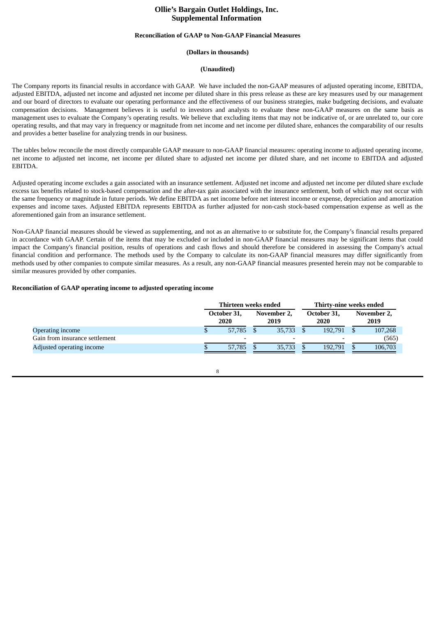## **Ollie's Bargain Outlet Holdings, Inc. Supplemental Information**

#### **Reconciliation of GAAP to Non-GAAP Financial Measures**

#### **(Dollars in thousands)**

#### **(Unaudited)**

The Company reports its financial results in accordance with GAAP. We have included the non-GAAP measures of adjusted operating income, EBITDA, adjusted EBITDA, adjusted net income and adjusted net income per diluted share in this press release as these are key measures used by our management and our board of directors to evaluate our operating performance and the effectiveness of our business strategies, make budgeting decisions, and evaluate compensation decisions. Management believes it is useful to investors and analysts to evaluate these non-GAAP measures on the same basis as management uses to evaluate the Company's operating results. We believe that excluding items that may not be indicative of, or are unrelated to, our core operating results, and that may vary in frequency or magnitude from net income and net income per diluted share, enhances the comparability of our results and provides a better baseline for analyzing trends in our business.

The tables below reconcile the most directly comparable GAAP measure to non-GAAP financial measures: operating income to adjusted operating income, net income to adjusted net income, net income per diluted share to adjusted net income per diluted share, and net income to EBITDA and adjusted EBITDA.

Adjusted operating income excludes a gain associated with an insurance settlement. Adjusted net income and adjusted net income per diluted share exclude excess tax benefits related to stock-based compensation and the after-tax gain associated with the insurance settlement, both of which may not occur with the same frequency or magnitude in future periods. We define EBITDA as net income before net interest income or expense, depreciation and amortization expenses and income taxes. Adjusted EBITDA represents EBITDA as further adjusted for non-cash stock-based compensation expense as well as the aforementioned gain from an insurance settlement.

Non-GAAP financial measures should be viewed as supplementing, and not as an alternative to or substitute for, the Company's financial results prepared in accordance with GAAP. Certain of the items that may be excluded or included in non-GAAP financial measures may be significant items that could impact the Company's financial position, results of operations and cash flows and should therefore be considered in assessing the Company's actual financial condition and performance. The methods used by the Company to calculate its non-GAAP financial measures may differ significantly from methods used by other companies to compute similar measures. As a result, any non-GAAP financial measures presented herein may not be comparable to similar measures provided by other companies.

#### **Reconciliation of GAAP operating income to adjusted operating income**

|                                | Thirteen weeks ended     |                     |  | Thirty-nine weeks ended  |  |                     |
|--------------------------------|--------------------------|---------------------|--|--------------------------|--|---------------------|
|                                | October 31,<br>2020      | November 2.<br>2019 |  | October 31.<br>2020      |  | November 2,<br>2019 |
| Operating income               | 57,785                   | 35.733              |  | 192.791                  |  | 107,268             |
| Gain from insurance settlement | $\overline{\phantom{a}}$ |                     |  | $\overline{\phantom{0}}$ |  | (565)               |
| Adjusted operating income      | 57,785                   | 35,733              |  | 192.791                  |  | 106,703             |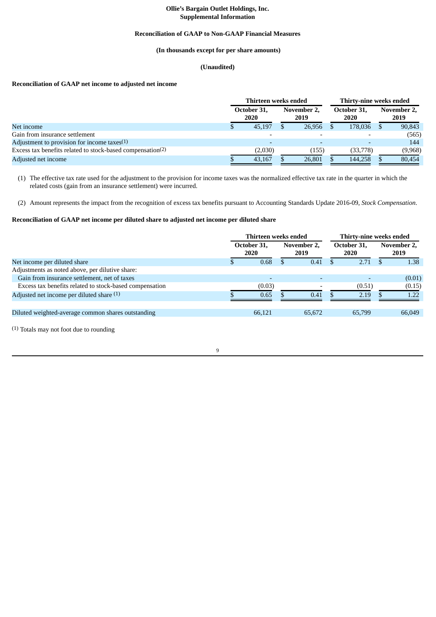## **Ollie's Bargain Outlet Holdings, Inc. Supplemental Information**

#### **Reconciliation of GAAP to Non-GAAP Financial Measures**

## **(In thousands except for per share amounts)**

## **(Unaudited)**

## **Reconciliation of GAAP net income to adjusted net income**

|                                                                        |   | Thirteen weeks ended | Thirty-nine weeks ended |                     |  |                     |  |                     |  |
|------------------------------------------------------------------------|---|----------------------|-------------------------|---------------------|--|---------------------|--|---------------------|--|
|                                                                        |   | October 31.<br>2020  |                         | November 2.<br>2019 |  | October 31.<br>2020 |  | November 2,<br>2019 |  |
| Net income                                                             | Ф | 45,197               |                         | 26,956              |  | 178,036             |  | 90,843              |  |
| Gain from insurance settlement                                         |   |                      |                         |                     |  |                     |  | (565)               |  |
| Adjustment to provision for income taxes $(1)$                         |   |                      |                         |                     |  |                     |  | 144                 |  |
| Excess tax benefits related to stock-based compensation <sup>(2)</sup> |   | (2,030)              |                         | (155                |  | (33,778)            |  | (9,968)             |  |
| Adjusted net income                                                    |   | 43,167               |                         | 26.801              |  | 144,258             |  | 80,454              |  |

(1) The effective tax rate used for the adjustment to the provision for income taxes was the normalized effective tax rate in the quarter in which the related costs (gain from an insurance settlement) were incurred.

(2) Amount represents the impact from the recognition of excess tax benefits pursuant to Accounting Standards Update 2016-09, *Stock Compensation*.

## **Reconciliation of GAAP net income per diluted share to adjusted net income per diluted share**

|                                                         | Thirteen weeks ended |  |                     |  |                     | Thirty-nine weeks ended |                     |  |  |
|---------------------------------------------------------|----------------------|--|---------------------|--|---------------------|-------------------------|---------------------|--|--|
|                                                         | October 31.<br>2020  |  | November 2.<br>2019 |  | October 31.<br>2020 |                         | November 2,<br>2019 |  |  |
| Net income per diluted share                            | 0.68                 |  | 0.41                |  | 2.71                |                         | 1.38                |  |  |
| Adjustments as noted above, per dilutive share:         |                      |  |                     |  |                     |                         |                     |  |  |
| Gain from insurance settlement, net of taxes            |                      |  |                     |  |                     |                         | (0.01)              |  |  |
| Excess tax benefits related to stock-based compensation | (0.03)               |  |                     |  | (0.51)              |                         | (0.15)              |  |  |
| Adjusted net income per diluted share (1)               | 0.65                 |  | 0.41                |  | 2.19                |                         | 1.22                |  |  |
| Diluted weighted-average common shares outstanding      | 66,121               |  | 65,672              |  | 65,799              |                         | 66,049              |  |  |
|                                                         |                      |  |                     |  |                     |                         |                     |  |  |

(1) Totals may not foot due to rounding